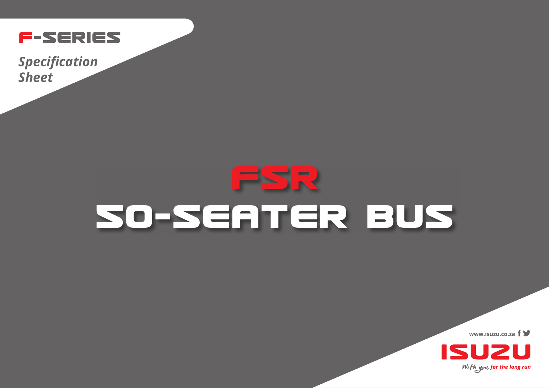

**Specification Sheet** 

## $\overline{\phantom{a}}$  $\blacksquare$ SO-SEATER BUS

www.isuzu.co.za  $f \blacktriangleright$